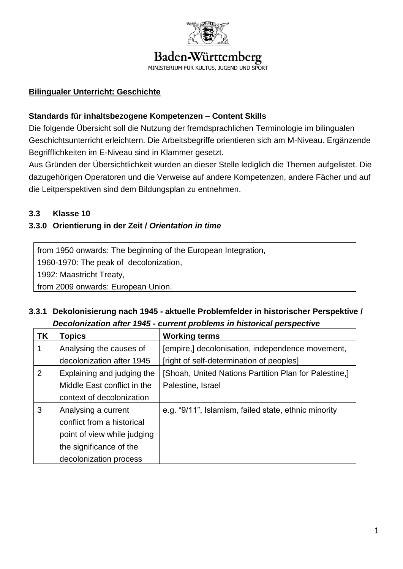

# Baden-Württemberg

MINISTERIUM FÜR KULTUS

# **Bilingualer Unterricht: Geschichte**

#### **Standards für inhaltsbezogene Kompetenzen – Content Skills**

Die folgende Übersicht soll die Nutzung der fremdsprachlichen Terminologie im bilingualen Geschichtsunterricht erleichtern. Die Arbeitsbegriffe orientieren sich am M-Niveau. Ergänzende Begrifflichkeiten im E-Niveau sind in Klammer gesetzt.

Aus Gründen der Übersichtlichkeit wurden an dieser Stelle lediglich die Themen aufgelistet. Die dazugehörigen Operatoren und die Verweise auf andere Kompetenzen, andere Fächer und auf die Leitperspektiven sind dem Bildungsplan zu entnehmen.

#### **3.3 Klasse 10**

# **3.3.0 Orientierung in der Zeit /** *Orientation in time*

from 1950 onwards: The beginning of the European Integration, 1960-1970: The peak of decolonization,

1992: Maastricht Treaty,

from 2009 onwards: European Union.

# **3.3.1 Dekolonisierung nach 1945 - aktuelle Problemfelder in historischer Perspektive /**  *Decolonization after 1945 - current problems in historical perspective*

| <b>TK</b> | <b>Topics</b>               | <b>Working terms</b>                                  |
|-----------|-----------------------------|-------------------------------------------------------|
|           | Analysing the causes of     | [empire,] decolonisation, independence movement,      |
|           | decolonization after 1945   | [right of self-determination of peoples]              |
| 2         | Explaining and judging the  | [Shoah, United Nations Partition Plan for Palestine,] |
|           | Middle East conflict in the | Palestine, Israel                                     |
|           | context of decolonization   |                                                       |
| 3         | Analysing a current         | e.g. "9/11", Islamism, failed state, ethnic minority  |
|           | conflict from a historical  |                                                       |
|           | point of view while judging |                                                       |
|           | the significance of the     |                                                       |
|           | decolonization process      |                                                       |